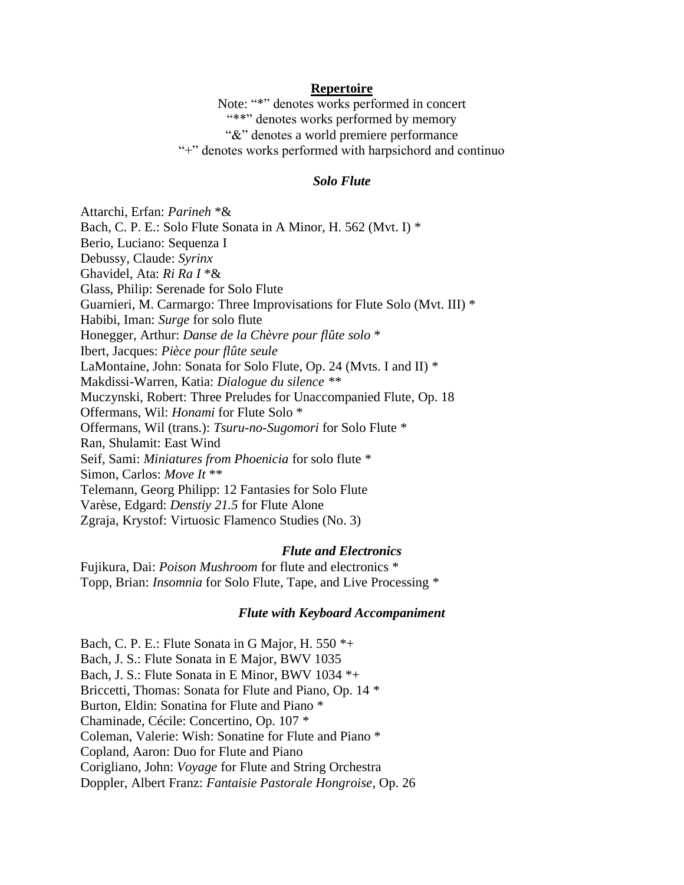### **Repertoire**

Note: "\*" denotes works performed in concert "\*\*" denotes works performed by memory" "&" denotes a world premiere performance "+" denotes works performed with harpsichord and continuo

### *Solo Flute*

Attarchi, Erfan: *Parineh* \*& Bach, C. P. E.: Solo Flute Sonata in A Minor, H. 562 (Mvt. I) \* Berio, Luciano: Sequenza I Debussy, Claude: *Syrinx* Ghavidel, Ata: *Ri Ra I* \*& Glass, Philip: Serenade for Solo Flute Guarnieri, M. Carmargo: Three Improvisations for Flute Solo (Mvt. III) \* Habibi, Iman: *Surge* for solo flute Honegger, Arthur: *Danse de la Chèvre pour flûte solo* \* Ibert, Jacques: *Pièce pour flûte seule* LaMontaine, John: Sonata for Solo Flute, Op. 24 (Mvts. I and II) \* Makdissi-Warren, Katia: *Dialogue du silence \*\** Muczynski, Robert: Three Preludes for Unaccompanied Flute, Op. 18 Offermans, Wil: *Honami* for Flute Solo \* Offermans, Wil (trans.): *Tsuru-no-Sugomori* for Solo Flute \* Ran, Shulamit: East Wind Seif, Sami: *Miniatures from Phoenicia* for solo flute \* Simon, Carlos: *Move It* \*\* Telemann, Georg Philipp: 12 Fantasies for Solo Flute Varèse, Edgard: *Denstiy 21.5* for Flute Alone Zgraja, Krystof: Virtuosic Flamenco Studies (No. 3)

#### *Flute and Electronics*

Fujikura, Dai: *Poison Mushroom* for flute and electronics \* Topp, Brian: *Insomnia* for Solo Flute, Tape, and Live Processing \*

#### *Flute with Keyboard Accompaniment*

Bach, C. P. E.: Flute Sonata in G Major, H. 550 \*+ Bach, J. S.: Flute Sonata in E Major, BWV 1035 Bach, J. S.: Flute Sonata in E Minor, BWV 1034 \*+ Briccetti, Thomas: Sonata for Flute and Piano, Op. 14 \* Burton, Eldin: Sonatina for Flute and Piano \* Chaminade, Cécile: Concertino, Op. 107 \* Coleman, Valerie: Wish: Sonatine for Flute and Piano \* Copland, Aaron: Duo for Flute and Piano Corigliano, John: *Voyage* for Flute and String Orchestra Doppler, Albert Franz: *Fantaisie Pastorale Hongroise*, Op. 26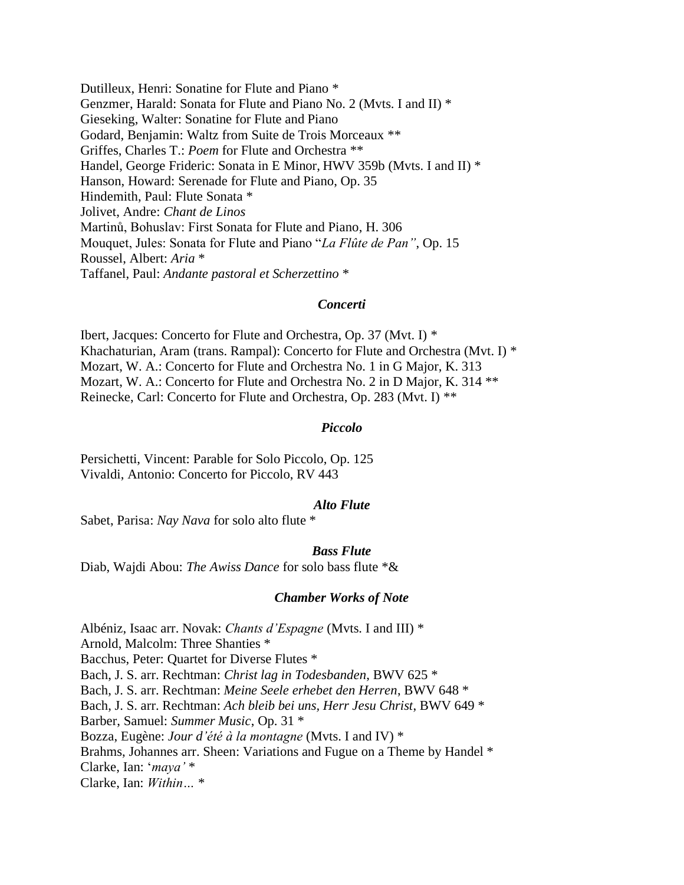Dutilleux, Henri: Sonatine for Flute and Piano \* Genzmer, Harald: Sonata for Flute and Piano No. 2 (Mvts. I and II) \* Gieseking, Walter: Sonatine for Flute and Piano Godard, Benjamin: Waltz from Suite de Trois Morceaux \*\* Griffes, Charles T.: *Poem* for Flute and Orchestra \*\* Handel, George Frideric: Sonata in E Minor, HWV 359b (Mvts. I and II) \* Hanson, Howard: Serenade for Flute and Piano, Op. 35 Hindemith, Paul: Flute Sonata \* Jolivet, Andre: *Chant de Linos* Martinů, Bohuslav: First Sonata for Flute and Piano, H. 306 Mouquet, Jules: Sonata for Flute and Piano "*La Flûte de Pan"*, Op. 15 Roussel, Albert: *Aria* \* Taffanel, Paul: *Andante pastoral et Scherzettino* \*

### *Concerti*

Ibert, Jacques: Concerto for Flute and Orchestra, Op. 37 (Mvt. I) \* Khachaturian, Aram (trans. Rampal): Concerto for Flute and Orchestra (Mvt. I) \* Mozart, W. A.: Concerto for Flute and Orchestra No. 1 in G Major, K. 313 Mozart, W. A.: Concerto for Flute and Orchestra No. 2 in D Major, K. 314 \*\* Reinecke, Carl: Concerto for Flute and Orchestra, Op. 283 (Mvt. I) \*\*

### *Piccolo*

Persichetti, Vincent: Parable for Solo Piccolo, Op. 125 Vivaldi, Antonio: Concerto for Piccolo, RV 443

### *Alto Flute*

Sabet, Parisa: *Nay Nava* for solo alto flute \*

#### *Bass Flute*

Diab, Wajdi Abou: *The Awiss Dance* for solo bass flute \*&

#### *Chamber Works of Note*

Albéniz, Isaac arr. Novak: *Chants d'Espagne* (Mvts. I and III) \* Arnold, Malcolm: Three Shanties \* Bacchus, Peter: Quartet for Diverse Flutes \* Bach, J. S. arr. Rechtman: *Christ lag in Todesbanden*, BWV 625 \* Bach, J. S. arr. Rechtman: *Meine Seele erhebet den Herren*, BWV 648 \* Bach, J. S. arr. Rechtman: *Ach bleib bei uns, Herr Jesu Christ*, BWV 649 \* Barber, Samuel: *Summer Music*, Op. 31 \* Bozza, Eugène: *Jour d'été à la montagne* (Mvts. I and IV) \* Brahms, Johannes arr. Sheen: Variations and Fugue on a Theme by Handel \* Clarke, Ian: '*maya'* \* Clarke, Ian: *Within…* \*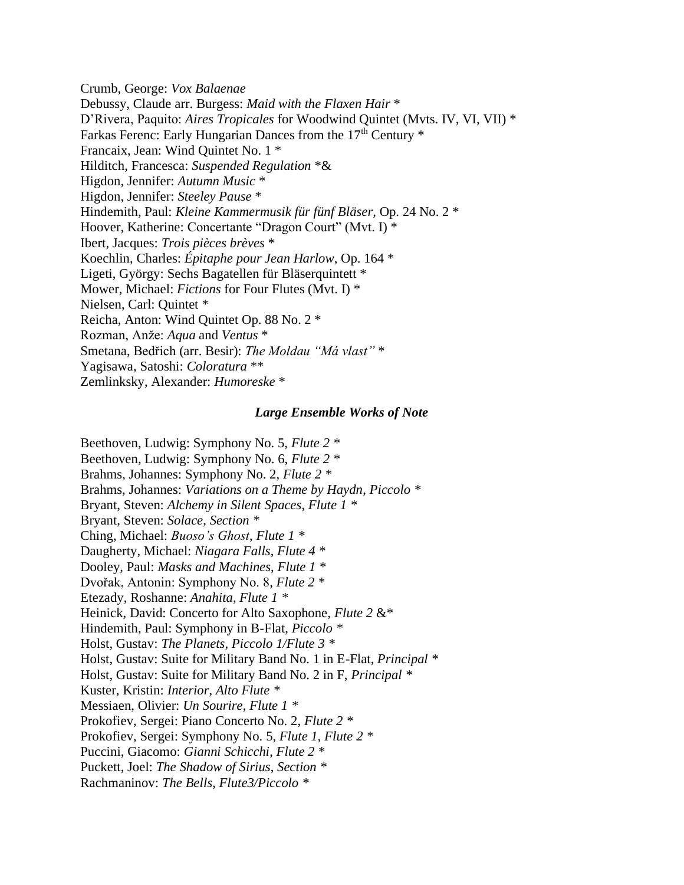Crumb, George: *Vox Balaenae* Debussy, Claude arr. Burgess: *Maid with the Flaxen Hair* \* D'Rivera, Paquito: *Aires Tropicales* for Woodwind Quintet (Mvts. IV, VI, VII) \* Farkas Ferenc: Early Hungarian Dances from the 17<sup>th</sup> Century \* Francaix, Jean: Wind Quintet No. 1 \* Hilditch, Francesca: *Suspended Regulation* \*& Higdon, Jennifer: *Autumn Music* \* Higdon, Jennifer: *Steeley Pause* \* Hindemith, Paul: *Kleine Kammermusik für fünf Bläser,* Op. 24 No. 2 \* Hoover, Katherine: Concertante "Dragon Court" (Mvt. I) \* Ibert, Jacques: *Trois pièces brèves* \* Koechlin, Charles: *Épitaphe pour Jean Harlow*, Op. 164 \* Ligeti, György: Sechs Bagatellen für Bläserquintett \* Mower, Michael: *Fictions* for Four Flutes (Mvt. I) \* Nielsen, Carl: Quintet \* Reicha, Anton: Wind Quintet Op. 88 No. 2 \* Rozman, Anže: *Aqua* and *Ventus* \* Smetana, Bedřich (arr. Besir): *The Moldau "Má vlast"* \* Yagisawa, Satoshi: *Coloratura* \*\* Zemlinksky, Alexander: *Humoreske* \*

## *Large Ensemble Works of Note*

Beethoven, Ludwig: Symphony No. 5, *Flute 2 \** Beethoven, Ludwig: Symphony No. 6, *Flute 2 \** Brahms, Johannes: Symphony No. 2, *Flute 2 \** Brahms, Johannes: *Variations on a Theme by Haydn*, *Piccolo \** Bryant, Steven: *Alchemy in Silent Spaces*, *Flute 1 \** Bryant, Steven: *Solace*, *Section \** Ching, Michael: *Buoso's Ghost*, *Flute 1 \** Daugherty, Michael: *Niagara Falls*, *Flute 4 \** Dooley, Paul: *Masks and Machines*, *Flute 1 \** Dvořak, Antonin: Symphony No. 8, *Flute 2 \** Etezady, Roshanne: *Anahita*, *Flute 1 \** Heinick, David: Concerto for Alto Saxophone, *Flute 2* &\* Hindemith, Paul: Symphony in B-Flat, *Piccolo \** Holst, Gustav: *The Planets*, *Piccolo 1/Flute 3 \** Holst, Gustav: Suite for Military Band No. 1 in E-Flat, *Principal \** Holst, Gustav: Suite for Military Band No. 2 in F, *Principal \** Kuster, Kristin: *Interior*, *Alto Flute \** Messiaen, Olivier: *Un Sourire*, *Flute 1 \** Prokofiev, Sergei: Piano Concerto No. 2, *Flute 2 \** Prokofiev, Sergei: Symphony No. 5, *Flute 1, Flute 2 \** Puccini, Giacomo: *Gianni Schicchi*, *Flute 2 \** Puckett, Joel: *The Shadow of Sirius*, *Section \** Rachmaninov: *The Bells*, *Flute3/Piccolo \**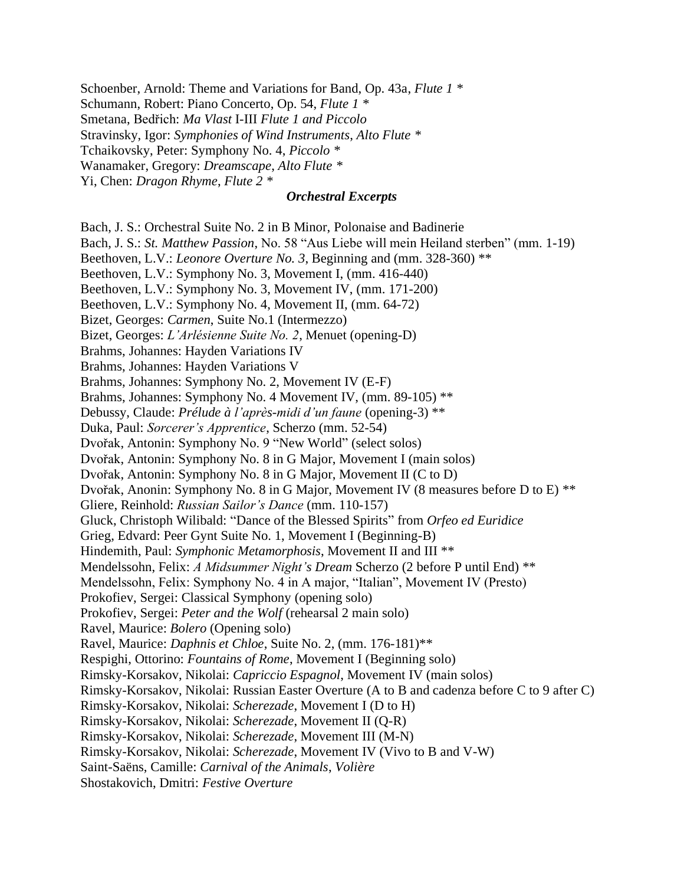Schoenber, Arnold: Theme and Variations for Band, Op. 43a, *Flute 1 \**

Schumann, Robert: Piano Concerto, Op. 54, *Flute 1 \**

Smetana, Bedřich: *Ma Vlast* I-III *Flute 1 and Piccolo*

Stravinsky, Igor: *Symphonies of Wind Instruments*, *Alto Flute \**

Tchaikovsky, Peter: Symphony No. 4, *Piccolo \**

Wanamaker, Gregory: *Dreamscape*, *Alto Flute \**

Yi, Chen: *Dragon Rhyme*, *Flute 2 \**

# *Orchestral Excerpts*

Bach, J. S.: Orchestral Suite No. 2 in B Minor, Polonaise and Badinerie

Bach, J. S.: *St. Matthew Passion*, No. 58 "Aus Liebe will mein Heiland sterben" (mm. 1-19)

Beethoven, L.V.: *Leonore Overture No. 3*, Beginning and (mm. 328-360) \*\*

Beethoven, L.V.: Symphony No. 3, Movement I, (mm. 416-440)

Beethoven, L.V.: Symphony No. 3, Movement IV, (mm. 171-200)

Beethoven, L.V.: Symphony No. 4, Movement II, (mm. 64-72)

Bizet, Georges: *Carmen*, Suite No.1 (Intermezzo)

Bizet, Georges: *L'Arlésienne Suite No. 2*, Menuet (opening-D)

Brahms, Johannes: Hayden Variations IV

Brahms, Johannes: Hayden Variations V

Brahms, Johannes: Symphony No. 2, Movement IV (E-F)

Brahms, Johannes: Symphony No. 4 Movement IV, (mm. 89-105) \*\*

Debussy, Claude: *Prélude à l'après-midi d'un faune* (opening-3) \*\*

Duka, Paul: *Sorcerer's Apprentice*, Scherzo (mm. 52-54)

Dvořak, Antonin: Symphony No. 9 "New World" (select solos)

Dvořak, Antonin: Symphony No. 8 in G Major, Movement I (main solos)

Dvořak, Antonin: Symphony No. 8 in G Major, Movement II (C to D)

Dvořak, Anonin: Symphony No. 8 in G Major, Movement IV (8 measures before D to E) \*\*

Gliere, Reinhold: *Russian Sailor's Dance* (mm. 110-157)

Gluck, Christoph Wilibald: "Dance of the Blessed Spirits" from *Orfeo ed Euridice*

Grieg, Edvard: Peer Gynt Suite No. 1, Movement I (Beginning-B)

Hindemith, Paul: *Symphonic Metamorphosis*, Movement II and III \*\*

Mendelssohn, Felix: *A Midsummer Night's Dream* Scherzo (2 before P until End) \*\*

Mendelssohn, Felix: Symphony No. 4 in A major, "Italian", Movement IV (Presto)

Prokofiev, Sergei: Classical Symphony (opening solo)

Prokofiev, Sergei: *Peter and the Wolf* (rehearsal 2 main solo)

Ravel, Maurice: *Bolero* (Opening solo)

Ravel, Maurice: *Daphnis et Chloe*, Suite No. 2, (mm. 176-181)\*\*

Respighi, Ottorino: *Fountains of Rome*, Movement I (Beginning solo)

Rimsky-Korsakov, Nikolai: *Capriccio Espagnol*, Movement IV (main solos)

Rimsky-Korsakov, Nikolai: Russian Easter Overture (A to B and cadenza before C to 9 after C)

Rimsky-Korsakov, Nikolai: *Scherezade*, Movement I (D to H)

Rimsky-Korsakov, Nikolai: *Scherezade*, Movement II (Q-R)

Rimsky-Korsakov, Nikolai: *Scherezade*, Movement III (M-N)

Rimsky-Korsakov, Nikolai: *Scherezade*, Movement IV (Vivo to B and V-W)

Saint-Saëns, Camille: *Carnival of the Animals*, *Volière*

Shostakovich, Dmitri: *Festive Overture*